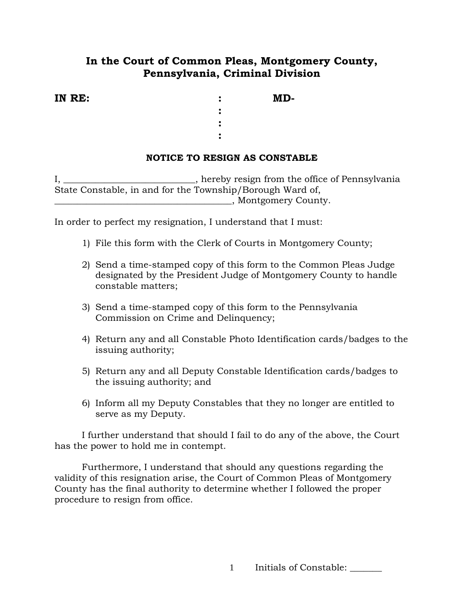## **In the Court of Common Pleas, Montgomery County, Pennsylvania, Criminal Division**

| IN RE: |  | MD- |
|--------|--|-----|
|--------|--|-----|

 *:*   $\frac{1}{2}$  **:**  $\frac{1}{2}$  **:**  $\frac{1}{2}$  **:**  $\frac{1}{2}$  **:**  $\frac{1}{2}$  **:**  $\frac{1}{2}$  **:**  $\frac{1}{2}$  **:**  $\frac{1}{2}$  **:**  $\frac{1}{2}$  **:**  $\frac{1}{2}$  **:**  $\frac{1}{2}$  **:**  $\frac{1}{2}$  **:**  $\frac{1}{2}$  **:**  $\frac{1}{2}$  **:**  $\frac{1}{2}$  **:**  $\frac{$  *:*   $\frac{1}{2}$  **:**  $\frac{1}{2}$  **:**  $\frac{1}{2}$  **:**  $\frac{1}{2}$  **:**  $\frac{1}{2}$  **:**  $\frac{1}{2}$  **:**  $\frac{1}{2}$  **:**  $\frac{1}{2}$  **:**  $\frac{1}{2}$  **:**  $\frac{1}{2}$  **:**  $\frac{1}{2}$  **:**  $\frac{1}{2}$  **:**  $\frac{1}{2}$  **:**  $\frac{1}{2}$  **:**  $\frac{1}{2}$  **:**  $\frac{$  *:*   $\mathbf{r} = \mathbf{r} \cdot \mathbf{r}$  **:**  $\mathbf{r} = \mathbf{r} \cdot \mathbf{r}$  **:**  $\mathbf{r} = \mathbf{r} \cdot \mathbf{r}$  **:** 

## **NOTICE TO RESIGN AS CONSTABLE**

I, \_\_\_\_\_\_\_\_\_\_\_\_\_\_\_\_\_\_\_\_\_\_\_\_\_\_, hereby resign from the office of Pennsylvania State Constable, in and for the Township/Borough Ward of, \_\_\_\_\_\_\_\_\_\_\_\_\_\_\_\_\_\_\_\_\_\_\_\_\_\_\_\_\_\_\_\_\_\_\_\_\_\_\_, Montgomery County.

In order to perfect my resignation, I understand that I must:

- 1) File this form with the Clerk of Courts in Montgomery County;
- 2) Send a time-stamped copy of this form to the Common Pleas Judge designated by the President Judge of Montgomery County to handle constable matters;
- 3) Send a time-stamped copy of this form to the Pennsylvania Commission on Crime and Delinquency;
- 4) Return any and all Constable Photo Identification cards/badges to the issuing authority;
- 5) Return any and all Deputy Constable Identification cards/badges to the issuing authority; and
- 6) Inform all my Deputy Constables that they no longer are entitled to serve as my Deputy.

I further understand that should I fail to do any of the above, the Court has the power to hold me in contempt.

Furthermore, I understand that should any questions regarding the validity of this resignation arise, the Court of Common Pleas of Montgomery County has the final authority to determine whether I followed the proper procedure to resign from office.

1 Initials of Constable: \_\_\_\_\_\_\_